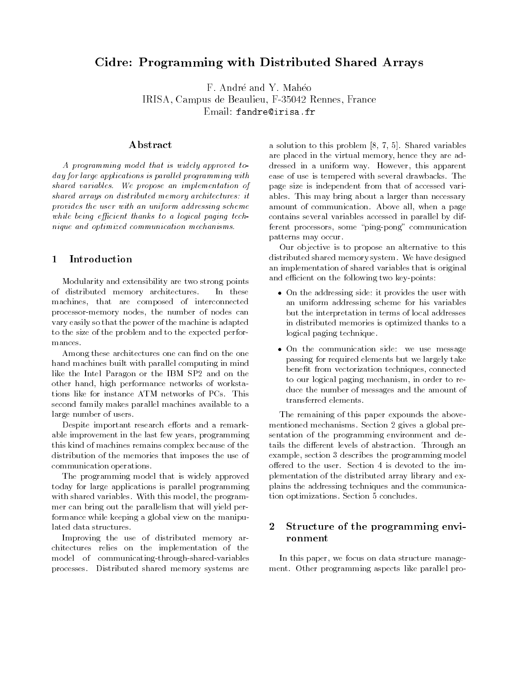# Cidre: Programming with Distributed Shared Arrays

F. André and Y. Mahéo IRISA. Campus de Beaulieu. F-35042 Rennes. France IRISA, Campus de Beaulieu, F-35042 Rennes, France Email: fandre@irisa.fr

## Abstract

A programming model that is widely approved today for large applications is parallel programming with shared variables. We propose an implementation of shared arrays on distributed memory architectures: it provides the user with an uniform addressing scheme while being efficient thanks to a logical paging technique and optimized communication mechanisms.

#### $\mathbf{1}$

Modularity and extensibility are two strong points of distributed memory architectures. In these machines, that are composed of interconnected processor-memory nodes, the number of nodes can vary easily so that the power of the machine is adapted to the size of the problem and to the expected perfor mances.

Among these architectures one can find on the one hand machines built with parallel computing in mind like the Intel Paragon or the IBM SP2 and on the other hand, high performance networks of workstations like for instance ATM networks of PCs. This second family makes parallel machines available to a large number of users.

Despite important research efforts and a remarkable improvement in the last few years, programming this kind of machines remains complex because of the distribution of the memories that imposes the use of communication operations.

The programming model that is widely approved today for large applications is parallel programming with shared variables. With this model, the programmer can bring out the parallelism that will yield performance while keeping a global view on the manipulated data structures.

Improving the use of distributed memory architectures relies on the implementation of the model of communicating-through-shared-variables processes. Distributed shared memory systems are

a solution to this problem [8, 7, 5]. Shared variables are placed in the virtual memory, hence they are addressed in a uniform way. However, this apparent ease of use is tempered with several drawbacks. The page size is independent from that of accessed variables. This may bring about a larger than necessary amount of communication. Above all, when a page contains several variables accessed in parallel by different processors, some \ping-pong" communication patterns may occur.

Our objective is to propose an alternative to this distributed shared memory system. We have designed an implementation of shared variables that is original and efficient on the following two key-points:

- On the addressing side: it provides the user with an uniform addressing scheme for his variables but the interpretation in terms of local addresses in distributed memories is optimized thanks to a logical paging technique.
- On the communication side: we use message passing for required elements but we largely take benefit from vectorization techniques, connected to our logical paging mechanism, in order to reduce the number of messages and the amount of transferred elements.

The remaining of this paper expounds the above mentioned mechanisms. Section 2 gives a global presentation of the programming environment and details the different levels of abstraction. Through an example, section 3 describes the programming model offered to the user. Section 4 is devoted to the implementation of the distributed array library and explains the addressing techniques and the communication optimizations. Section 5 concludes.

## 2 Structure of the programming environment

In this paper, we focus on data structure manage ment. Other programming aspects like parallel pro-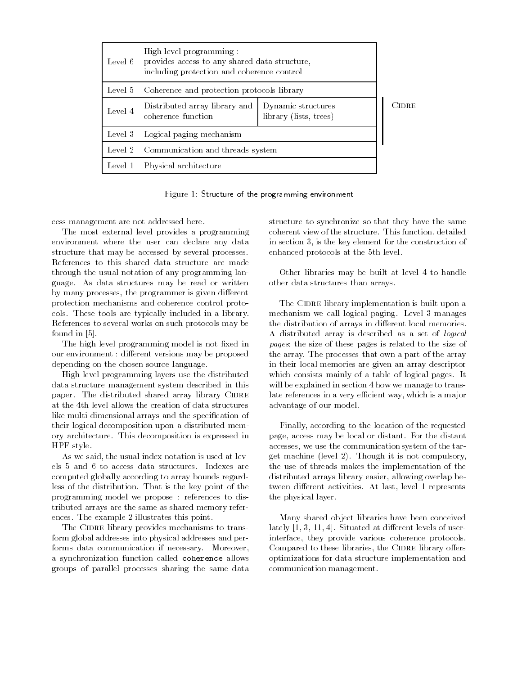| Level 6 | High level programming :<br>provides access to any shared data structure,<br>including protection and coherence control |                                              |       |
|---------|-------------------------------------------------------------------------------------------------------------------------|----------------------------------------------|-------|
| Level 5 | Coherence and protection protocols library                                                                              |                                              |       |
| Level 4 | Distributed array library and<br>coherence function                                                                     | Dynamic structures<br>library (lists, trees) | CIDRE |
|         | Level 3 Logical paging mechanism                                                                                        |                                              |       |
| Level 2 | Communication and threads system                                                                                        |                                              |       |
| Level 1 | Physical architecture                                                                                                   |                                              |       |

Figure 1: Structure of the programming environment

cess management are not addressed here.

The most external level provides a programming environment where the user can declare any data structure that may be accessed by several processes. References to this shared data structure are made through the usual notation of any programming language. As data structures may be read or written by many processes, the programmer is given different protection mechanisms and coherence control protocols. These tools are typically included in a library. References to several works on such protocols may be found in [5].

The high level programming model is not fixed in our environment : different versions may be proposed depending on the chosen source language.

High level programming layers use the distributed data structure management system described in this paper. The distributed shared array library CIDRE at the 4th level allows the creation of data structures like multi-dimensional arrays and the specification of their logical decomposition upon a distributed memory architecture. This decomposition is expressed in HPF style.

As we said, the usual index notation is used at levels 5 and 6 to access data structures. Indexes are computed globally according to array bounds regardless of the distribution. That is the key point of the programming model we propose : references to distributed arrays are the same as shared memory references. The example 2 illustrates this point.

The CIDRE library provides mechanisms to transform global addresses into physical addresses and performs data communication if necessary. Moreover, a synchronization function called coherence allows groups of parallel processes sharing the same data structure to synchronize so that they have the same coherent view of the structure. This function, detailed in section 3, is the key element for the construction of enhanced protocols at the 5th level.

Other libraries may be built at level 4 to handle other data structures than arrays.

The CIDRE library implementation is built upon a mechanism we call logical paging. Level 3 manages the distribution of arrays in different local memories. A distributed array is described as a set of logical pages; the size of these pages is related to the size of the array. The processes that own a part of the array in their local memories are given an array descriptor which consists mainly of a table of logical pages. It will be explained in section 4 how we manage to translate references in a very efficient way, which is a major advantage of our model.

Finally, according to the location of the requested page, access may be local or distant. For the distant accesses, we use the communication system of the target machine (level 2). Though it is not compulsory, the use of threads makes the implementation of the distributed arrays library easier, allowing overlap between different activities. At last, level 1 represents the physical layer.

Many shared object libraries have been conceived lately  $[1, 3, 11, 4]$ . Situated at different levels of userinterface, they provide various coherence protocols. Compared to these libraries, the CIDRE library offers optimizations for data structure implementation and communication management.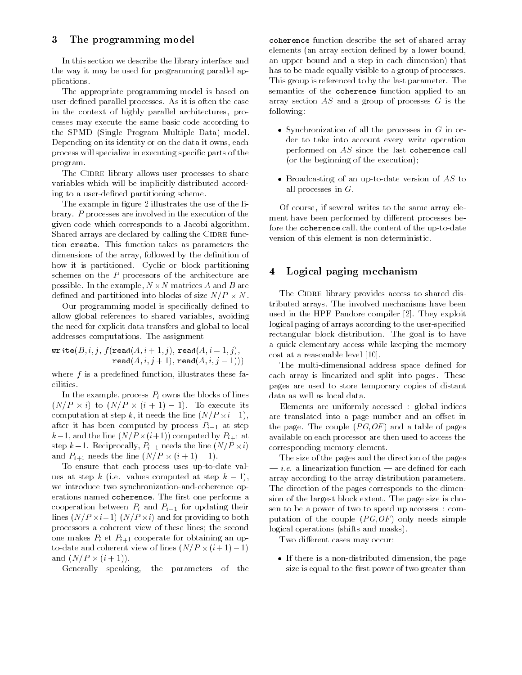#### 3 The programming model

In this section we describe the library interface and the way it may be used for programming parallel applications. plications.

The appropriate programming model is based on user-defined parallel processes. As it is often the case in the context of highly parallel architectures, processes may execute the same basic code according to the SPMD (Single Program Multiple Data) model. Depending on its identity or on the data it owns, each process will specialize in executing specic parts of the program.

The CIDRE library allows user processes to share variables which will be implicitly distributed according to a user-defined partitioning scheme.

The example in figure 2 illustrates the use of the library. P processes are involved in the execution of the given code which corresponds to a Jacobi algorithm. Shared arrays are declared by calling the CIDRE function create. This function takes as parameters the dimensions of the array, followed by the definition of how it is partitioned. Cyclic or block partitioning schemes on the P processors of the architecture are possible. In the example, I are the example, I are the state  $\sim$ dense and partition into blocks of size  $\mathcal{L}$ 

Our programming model is specifically defined to allow global references to shared variables, avoiding the need for explicit data transfers and global to local addresses computations. The assignment

$$
\texttt{write}(B, i, j, f(\texttt{read}(A, i + 1, j), \texttt{read}(A, i - 1, j), \\ \texttt{read}(A, i, j + 1), \texttt{read}(A, i, j - 1)))
$$

where  $f$  is a predefined function, illustrates these facilities.

In the example, process  $P_i$  owns the blocks of lines  $\{x_i\}$  . To  $\{x_i\}$  , to  $\{x_i\}$  . To extract its contract its contract of  $\{x_i\}$ computation at step k, it meets the line (see ), it is equipped after it has been computed by process  $P_{i-1}$  at step  $\alpha$  , and the line (signal computed by Pi+1 at  $\alpha$  ) at  $\beta$ step k1. Reciprocally, Pine (Reciprocally) the line (Reciprocally) is a step of the line (N=P - 2007). and Pi+1 is the line of the line  $\{1,2,3,4,5\}$  . If  $\{1,3,4,7\}$ 

To ensure that each process uses up-to-date values at step k (i.e. values computed at step  $k-1$ ), we introduce two synchronization-and-coherence operations named coherence. The first one performs a cooperation between  $P_i$  and  $P_{i-1}$  for updating their lines (N=P -i1) (N=P -i) and for providing to both processors a coherent view of these lines; the second one makes  $P_i$  et  $P_{i+1}$  cooperate for obtaining an upto-date and coherent view of lines (N=P - (i + 1) 1) and  $\alpha$  is the contract of the property of the contract of the contract of the contract of the contract of the

Generally speaking, the parameters of the

coherence function describe the set of shared array elements (an array section defined by a lower bound, an upper bound and a step in each dimension) that has to be made equally visible to a group of processes. This group is referenced to by the last parameter. The semantics of the coherence function applied to an array section  $AS$  and a group of processes  $G$  is the following:

- Synchronization of all the processes in  $G$  in order to take into account every write operation performed on AS since the last coherence call (or the beginning of the execution);
- Broadcasting of an up-to-date version of  $AS$  to all processes in  $G$ .

Of course, if several writes to the same array ele ment have been performed by different processes before the coherence call, the content of the up-to-date version of this element is non deterministic.

## 4 Logical paging mechanism

The CIDRE library provides access to shared distributed arrays. The involved mechanisms have been used in the HPF Pandore compiler [2]. They exploit logical paging of arrays according to the user-specified rectangular block distribution. The goal is to have a quick elementary access while keeping the memory cost at a reasonable level [10].

The multi-dimensional address space defined for each array is linearized and split into pages. These pages are used to store temporary copies of distant data as well as local data.

Elements are uniformly accessed : global indices are translated into a page number and an offset in the page. The couple  $(PG,OF)$  and a table of pages available on each processor are then used to access the corresponding memory element.

The size of the pages and the direction of the pages  $\frac{1}{n}$  i.e. a linearization function  $\frac{1}{n}$  are defined for each array according to the array distribution parameters. The direction of the pages corresponds to the dimension of the largest block extent. The page size is chosen to be a power of two to speed up accesses : computation of the couple  $(PG,OF)$  only needs simple logical operations (shifts and masks).

Two different cases may occur:

 If there is a non-distributed dimension, the page size is equal to the first power of two greater than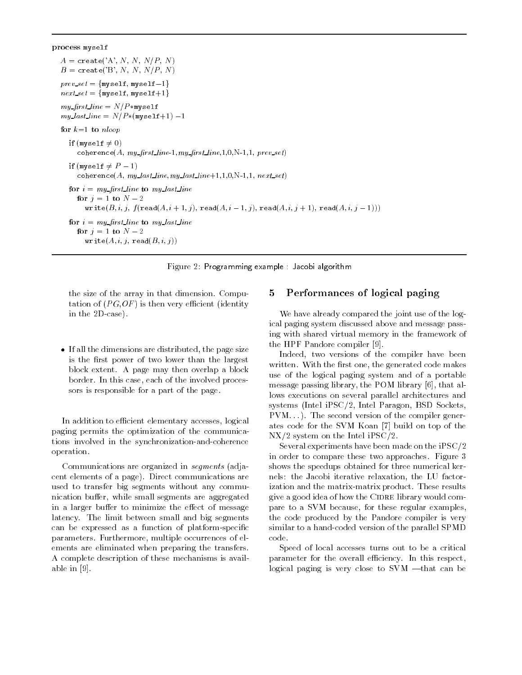process myself

 $A = \text{create}('A', N, N, N/P, N)$  $B = \texttt{create('B', N, N, N/P, N)}$  $\text{prev\_set} = \{\texttt{myself}, \texttt{myself-1}\}$  $\mathit{next} = \{\texttt{myself}, \texttt{myself+1}\}$  $my\_first\_line = N/P$ \*myself  $my\_last\_line = N/P * (myself+1) -1$ for  $k=1$  to nloop if (myself  $\neq 0$ ) coherence(A,  $my\_first\_line 1, my\_first\_line 1, 1, 0, N-1, 1, prev\_set)$ if (myself  $\neq$   $P-1$ ) coherence(A,  $my\_last\_line, my\_last\_line+1, 1, 0, N-1, 1, next\_set$ ) for  $i = my\_first\_line$  to my last line for  $j = 1$  to  $N - 2$ write $(B, i, j, f(\texttt{read}(A, i + 1, j), \texttt{read}(A, i - 1, j), \texttt{read}(A, i, j + 1), \texttt{read}(A, i, j - 1)))$ for  $i = m\psi$  first line to  $m\psi$  last line for  $j = 1$  to  $N - 2$  $write(A, i, j, read(B, i, j))$ 

Figure 2: Programming example : Jacobi algorithm

the size of the array in that dimension. Computation of  $(PG, OF)$  is then very efficient (identity in the 2D-case).

 If all the dimensions are distributed, the page size is the first power of two lower than the largest block extent. A page may then overlap a block border. In this case, each of the involved processors is responsible for a part of the page.

In addition to efficient elementary accesses, logical paging permits the optimization of the communications involved in the synchronization-and-coherence operation.

Communications are organized in segments (adjacent elements of a page). Direct communications are used to transfer big segments without any communication buffer, while small segments are aggregated in a larger buffer to minimize the effect of message latency. The limit between small and big segments can be expressed as a function of platform-specic parameters. Furthermore, multiple occurrences of elements are eliminated when preparing the transfers. A complete description of these mechanisms is available in [9].

## 5 Performances of logical paging

We have already compared the joint use of the logical paging system discussed above and message passing with shared virtual memory in the framework of the HPF Pandore compiler [9].

Indeed, two versions of the compiler have been written. With the first one, the generated code makes use of the logical paging system and of a portable message passing library, the POM library [6], that allows executions on several parallel architectures and systems (Intel iPSC/2, Intel Paragon, BSD Sockets, PVM::: ). The second version of the compiler generates code for the SVM Koan [7] build on top of the NX/2 system on the Intel iPSC/2.

Several experiments have been made on the iPSC/2 in order to compare these two approaches. Figure 3 shows the speedups obtained for three numerical kernels: the Jacobi iterative relaxation, the LU factorization and the matrix-matrix product. These results give a good idea of how the CIDRE library would compare to a SVM because, for these regular examples, the code produced by the Pandore compiler is very similar to a hand-coded version of the parallel SPMD

Speed of local accesses turns out to be a critical parameter for the overall efficiency. In this respect, logical paging is very close to  $SVM$  —that can be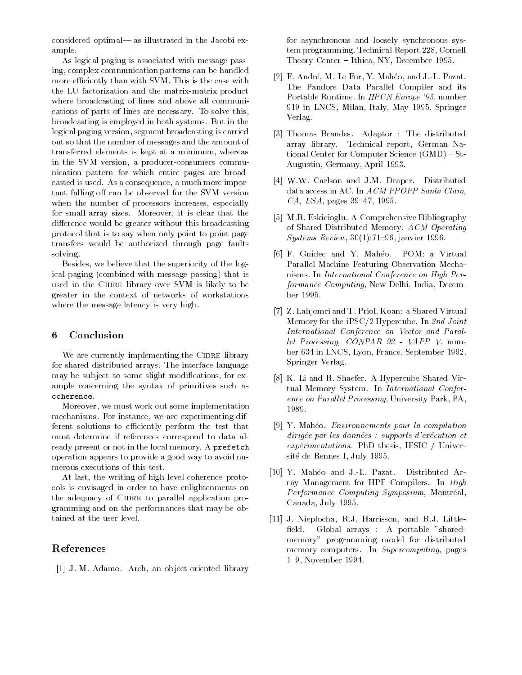considered optimal— as illustrated in the Jacobi example.

As logical paging is associated with message passing, complex communication patterns can be handled more efficiently than with SVM. This is the case with the LU factorization and the matrix-matrix product where broadcasting of lines and above all communications of parts of lines are necessary. To solve this, broadcasting is employed in both systems. But in the logical paging version, segment broadcasting is carried out so that the number of messages and the amount of transferred elements is kept at a minimum, whereas in the SVM version, a producer-consumers communication pattern for which entire pages are broadcasted is used. As a consequence, a much more important falling off can be observed for the SVM version when the number of processors increases, especially for small array sizes. Moreover, it is clear that the difference would be greater without this broadcasting protocol that is to say when only point to point page transfers would be authorized through page faults solving.

Besides, we believe that the superiority of the logical paging (combined with message passing) that is used in the CIDRE library over SVM is likely to be greater in the context of networks of workstations where the message latency is very high.

#### 6 Conclusion

We are currently implementing the CIDRE library for shared distributed arrays. The interface language may be subject to some slight modifications, for example concerning the syntax of primitives such as coherence.

Moreover, we must work out some implementation mechanisms. For instance, we are experimenting different solutions to efficiently perform the test that must determine if references correspond to data already present or not in the local memory. A prefetch operation appears to provide a good way to avoid nu merous executions of this test.

At last, the writing of high level coherence protocols is envisaged in order to have enlightenments on the adequacy of CIDRE to parallel application programming and on the performances that may be obtained at the user level.

#### References

[1] J.-M. Adamo. Arch, an object-oriented library

for asynchronous and loosely synchronous system programming. Technical Report 228, Cornell Theory Center - Ithica, NY, December 1995.

- [2] F. André, M. Le Fur, Y. Mahéo, and J.-L. Pazat. The Pandore Data Parallel Compiler and its Portable Runtime. In HPCN Europe '95, number 919 in LNCS, Milan, Italy, May 1995. Springer Verlag.
- [3] Thomas Brandes. Adaptor : The distributed array library. Technical report, German National Center for Computer Science  $(GMD) - St-$ Augustin, Germany, April 1993.
- [4] W.W. Carlson and J.M. Draper. Distributed data access in AC. In ACM PPOPP Santa Clara,  $CA, USA, pages 39-47, 1995.$
- [5] M.R. Eskicioglu. A Comprehensive Bibliography of Shared Distributed Memory. ACM Operating Systems Review,  $30(1)$ :71-96, janvier 1996.
- [6] F. Guidec and Y. Maheo. POM: a Virtual Parallel Machine Featuring Observation Mechanisms. In International Conference on High Performance Computing, New Delhi, India, December 1995.
- [7] Z. Lahjomri and T. Priol. Koan: a Shared Virtual Memory for the iPSC/2 Hypercube. In 2nd Joint International Conference on Vector and Parallel Processing, CONPAR 92 - VAPP V, number 634 in LNCS, Lyon, France, September 1992. Springer Verlag.
- [8] K. Li and R. Shaefer. A Hypercube Shared Virtual Memory System. In International Conference on Parallel Processing, University Park, PA, 1989.
- [9] Y. Maheo. Environnements pour la compilation dirigée par les données : supports d'exécution et  $exp\'erimentations. PhD thesis, IFSIC / University$ site de Rennes I, July 1995.
- [10] Y. Maheo and J.-L. Pazat. Distributed Array Management for HPF Compilers. In High Performance Computing Symposium, Montréal, Canada, July 1995.
- [11] J. Nieplocha, R.J. Harrisson, and R.J. Little field. Global arrays : A portable "sharedmemory" programming model for distributed memory computers. In Supercomputing, pages 1{9, November 1994.